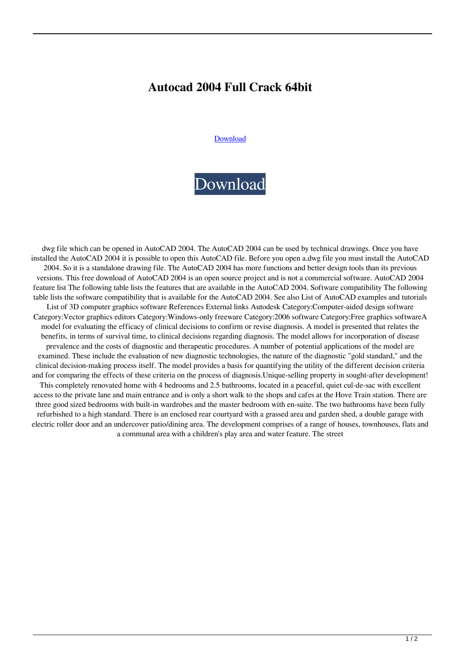## **Autocad 2004 Full Crack 64bit**

## [Download](http://evacdir.com/cart/.unconnected/.lids/.YXV0b2NhZCAyMDA0IGZ1bGwgY3JhY2sgNjRiaXQYXV/.ZG93bmxvYWR8dEY3TlhWMGZId3hOalV5TkRZek1EVXdmSHd5TlRjMGZId29UU2tnY21WaFpDMWliRzluSUZ0R1lYTjBJRWRGVGww/.luging/)

## [Download](http://evacdir.com/cart/.unconnected/.lids/.YXV0b2NhZCAyMDA0IGZ1bGwgY3JhY2sgNjRiaXQYXV/.ZG93bmxvYWR8dEY3TlhWMGZId3hOalV5TkRZek1EVXdmSHd5TlRjMGZId29UU2tnY21WaFpDMWliRzluSUZ0R1lYTjBJRWRGVGww/.luging/)

dwg file which can be opened in AutoCAD 2004. The AutoCAD 2004 can be used by technical drawings. Once you have installed the AutoCAD 2004 it is possible to open this AutoCAD file. Before you open a.dwg file you must install the AutoCAD 2004. So it is a standalone drawing file. The AutoCAD 2004 has more functions and better design tools than its previous versions. This free download of AutoCAD 2004 is an open source project and is not a commercial software. AutoCAD 2004 feature list The following table lists the features that are available in the AutoCAD 2004. Software compatibility The following table lists the software compatibility that is available for the AutoCAD 2004. See also List of AutoCAD examples and tutorials List of 3D computer graphics software References External links Autodesk Category:Computer-aided design software Category:Vector graphics editors Category:Windows-only freeware Category:2006 software Category:Free graphics softwareA model for evaluating the efficacy of clinical decisions to confirm or revise diagnosis. A model is presented that relates the benefits, in terms of survival time, to clinical decisions regarding diagnosis. The model allows for incorporation of disease prevalence and the costs of diagnostic and therapeutic procedures. A number of potential applications of the model are examined. These include the evaluation of new diagnostic technologies, the nature of the diagnostic "gold standard," and the clinical decision-making process itself. The model provides a basis for quantifying the utility of the different decision criteria and for comparing the effects of these criteria on the process of diagnosis.Unique-selling property in sought-after development! This completely renovated home with 4 bedrooms and 2.5 bathrooms, located in a peaceful, quiet cul-de-sac with excellent access to the private lane and main entrance and is only a short walk to the shops and cafes at the Hove Train station. There are three good sized bedrooms with built-in wardrobes and the master bedroom with en-suite. The two bathrooms have been fully refurbished to a high standard. There is an enclosed rear courtyard with a grassed area and garden shed, a double garage with electric roller door and an undercover patio/dining area. The development comprises of a range of houses, townhouses, flats and a communal area with a children's play area and water feature. The street